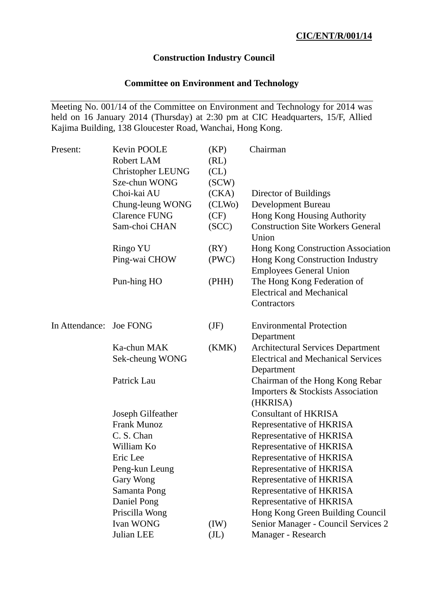## **Construction Industry Council**

# **Committee on Environment and Technology**

Meeting No. 001/14 of the Committee on Environment and Technology for 2014 was held on 16 January 2014 (Thursday) at 2:30 pm at CIC Headquarters, 15/F, Allied Kajima Building, 138 Gloucester Road, Wanchai, Hong Kong.

| Present:                | Kevin POOLE<br><b>Robert LAM</b><br><b>Christopher LEUNG</b><br>Sze-chun WONG | (KP)<br>(RL)<br>CL)<br>SCW) | Chairman                                                                         |
|-------------------------|-------------------------------------------------------------------------------|-----------------------------|----------------------------------------------------------------------------------|
|                         | Choi-kai AU                                                                   | (CKA)                       | Director of Buildings                                                            |
|                         | Chung-leung WONG                                                              | (CLWo)                      | Development Bureau                                                               |
|                         | <b>Clarence FUNG</b>                                                          | (CF)                        | Hong Kong Housing Authority                                                      |
|                         | Sam-choi CHAN                                                                 | (SCC)                       | <b>Construction Site Workers General</b><br>Union                                |
|                         | <b>Ringo YU</b>                                                               | (RY)                        | Hong Kong Construction Association                                               |
|                         | Ping-wai CHOW                                                                 | (PWC)                       | Hong Kong Construction Industry<br><b>Employees General Union</b>                |
|                         | Pun-hing HO                                                                   | (PHH)                       | The Hong Kong Federation of<br><b>Electrical and Mechanical</b><br>Contractors   |
| In Attendance: Joe FONG |                                                                               | (JF)                        | <b>Environmental Protection</b><br>Department                                    |
|                         | Ka-chun MAK                                                                   | (KMK)                       | <b>Architectural Services Department</b>                                         |
|                         | Sek-cheung WONG                                                               |                             | <b>Electrical and Mechanical Services</b><br>Department                          |
|                         | Patrick Lau                                                                   |                             | Chairman of the Hong Kong Rebar<br>Importers & Stockists Association<br>(HKRISA) |
|                         | Joseph Gilfeather                                                             |                             | <b>Consultant of HKRISA</b>                                                      |
|                         | <b>Frank Munoz</b>                                                            |                             | Representative of HKRISA                                                         |
|                         | C. S. Chan                                                                    |                             | Representative of HKRISA                                                         |
|                         | William Ko                                                                    |                             | Representative of HKRISA                                                         |
|                         | Eric Lee                                                                      |                             | Representative of HKRISA                                                         |
|                         | Peng-kun Leung                                                                |                             | Representative of HKRISA                                                         |
|                         | Gary Wong                                                                     |                             | Representative of HKRISA                                                         |
|                         | Samanta Pong                                                                  |                             | Representative of HKRISA                                                         |
|                         | Daniel Pong                                                                   |                             | Representative of HKRISA                                                         |
|                         | Priscilla Wong                                                                |                             | Hong Kong Green Building Council                                                 |
|                         | Ivan WONG                                                                     | (IW)                        | Senior Manager - Council Services 2                                              |
|                         | Julian LEE                                                                    | (J <sub>L</sub> )           | Manager - Research                                                               |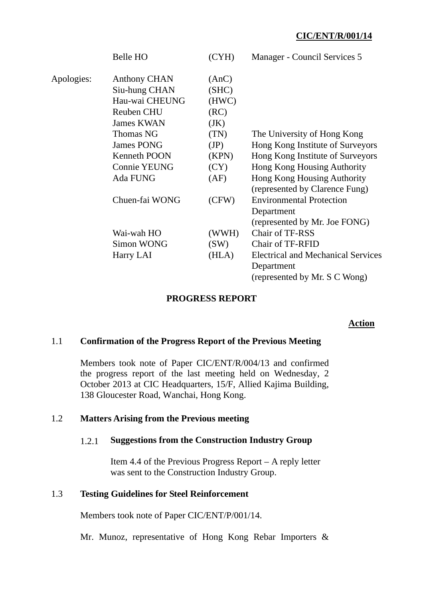|            | Belle HO            | (CYH) | Manager - Council Services 5              |
|------------|---------------------|-------|-------------------------------------------|
| Apologies: | <b>Anthony CHAN</b> | (AnC) |                                           |
|            | Siu-hung CHAN       | (SHC) |                                           |
|            | Hau-wai CHEUNG      | (HWC) |                                           |
|            | <b>Reuben CHU</b>   | (RC)  |                                           |
|            | <b>James KWAN</b>   | (JK)  |                                           |
|            | <b>Thomas NG</b>    | (TN)  | The University of Hong Kong               |
|            | <b>James PONG</b>   | (JP)  | Hong Kong Institute of Surveyors          |
|            | <b>Kenneth POON</b> | (KPN) | Hong Kong Institute of Surveyors          |
|            | <b>Connie YEUNG</b> | (CY)  | Hong Kong Housing Authority               |
|            | Ada FUNG            | (AF)  | Hong Kong Housing Authority               |
|            |                     |       | (represented by Clarence Fung)            |
|            | Chuen-fai WONG      | (CFW) | <b>Environmental Protection</b>           |
|            |                     |       | Department                                |
|            |                     |       | (represented by Mr. Joe FONG)             |
|            | Wai-wah HO          | (WWH) | Chair of TF-RSS                           |
|            | Simon WONG          | (SW)  | <b>Chair of TF-RFID</b>                   |
|            | Harry LAI           | (HLA) | <b>Electrical and Mechanical Services</b> |
|            |                     |       | Department                                |
|            |                     |       | (represented by Mr. S C Wong)             |
|            |                     |       |                                           |

### **PROGRESS REPORT**

### **Action**

#### 1.1 **Confirmation of the Progress Report of the Previous Meeting**

Members took note of Paper CIC/ENT/R/004/13 and confirmed the progress report of the last meeting held on Wednesday, 2 October 2013 at CIC Headquarters, 15/F, Allied Kajima Building, 138 Gloucester Road, Wanchai, Hong Kong.

## 1.2 **Matters Arising from the Previous meeting**

#### 1.2.1 **Suggestions from the Construction Industry Group**

Item 4.4 of the Previous Progress Report – A reply letter was sent to the Construction Industry Group.

### 1.3 **Testing Guidelines for Steel Reinforcement**

Members took note of Paper CIC/ENT/P/001/14.

Mr. Munoz, representative of Hong Kong Rebar Importers &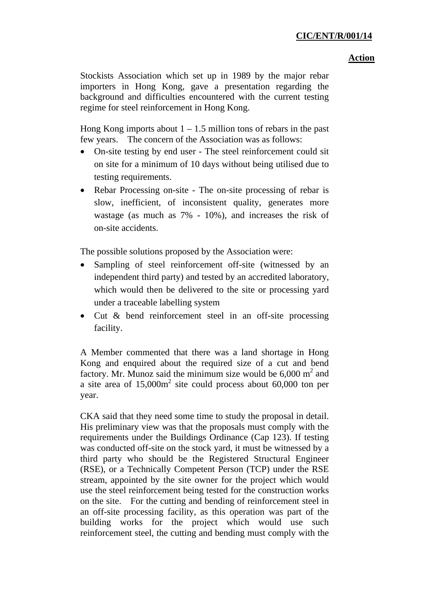#### **Action**

Stockists Association which set up in 1989 by the major rebar importers in Hong Kong, gave a presentation regarding the background and difficulties encountered with the current testing regime for steel reinforcement in Hong Kong.

Hong Kong imports about  $1 - 1.5$  million tons of rebars in the past few years. The concern of the Association was as follows:

- On-site testing by end user The steel reinforcement could sit on site for a minimum of 10 days without being utilised due to testing requirements.
- Rebar Processing on-site The on-site processing of rebar is slow, inefficient, of inconsistent quality, generates more wastage (as much as 7% - 10%), and increases the risk of on-site accidents.

The possible solutions proposed by the Association were:

- Sampling of steel reinforcement off-site (witnessed by an independent third party) and tested by an accredited laboratory, which would then be delivered to the site or processing yard under a traceable labelling system
- Cut & bend reinforcement steel in an off-site processing facility.

A Member commented that there was a land shortage in Hong Kong and enquired about the required size of a cut and bend factory. Mr. Munoz said the minimum size would be  $6,000 \text{ m}^2$  and a site area of  $15,000m^2$  site could process about 60,000 ton per year.

CKA said that they need some time to study the proposal in detail. His preliminary view was that the proposals must comply with the requirements under the Buildings Ordinance (Cap 123). If testing was conducted off-site on the stock yard, it must be witnessed by a third party who should be the Registered Structural Engineer (RSE), or a Technically Competent Person (TCP) under the RSE stream, appointed by the site owner for the project which would use the steel reinforcement being tested for the construction works on the site. For the cutting and bending of reinforcement steel in an off-site processing facility, as this operation was part of the building works for the project which would use such reinforcement steel, the cutting and bending must comply with the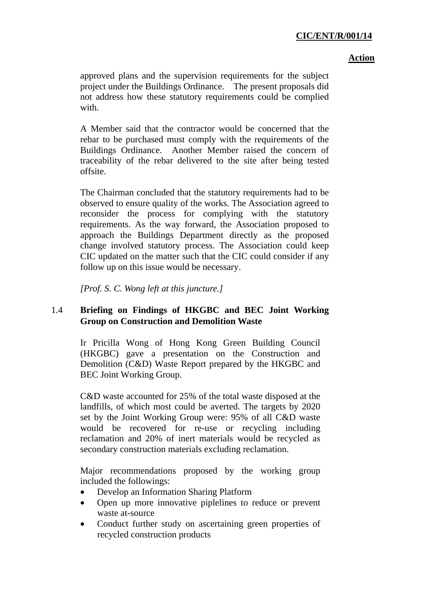#### **Action**

approved plans and the supervision requirements for the subject project under the Buildings Ordinance. The present proposals did not address how these statutory requirements could be complied with.

A Member said that the contractor would be concerned that the rebar to be purchased must comply with the requirements of the Buildings Ordinance. Another Member raised the concern of traceability of the rebar delivered to the site after being tested offsite.

The Chairman concluded that the statutory requirements had to be observed to ensure quality of the works. The Association agreed to reconsider the process for complying with the statutory requirements. As the way forward, the Association proposed to approach the Buildings Department directly as the proposed change involved statutory process. The Association could keep CIC updated on the matter such that the CIC could consider if any follow up on this issue would be necessary.

*[Prof. S. C. Wong left at this juncture.]*

# 1.4 **Briefing on Findings of HKGBC and BEC Joint Working Group on Construction and Demolition Waste**

Ir Pricilla Wong of Hong Kong Green Building Council (HKGBC) gave a presentation on the Construction and Demolition (C&D) Waste Report prepared by the HKGBC and BEC Joint Working Group.

C&D waste accounted for 25% of the total waste disposed at the landfills, of which most could be averted. The targets by 2020 set by the Joint Working Group were: 95% of all C&D waste would be recovered for re-use or recycling including reclamation and 20% of inert materials would be recycled as secondary construction materials excluding reclamation.

Major recommendations proposed by the working group included the followings:

- Develop an Information Sharing Platform
- Open up more innovative piplelines to reduce or prevent waste at-source
- Conduct further study on ascertaining green properties of recycled construction products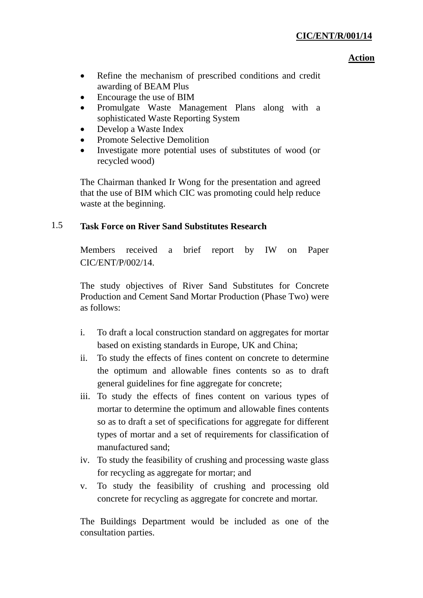#### **Action**

- Refine the mechanism of prescribed conditions and credit awarding of BEAM Plus
- Encourage the use of BIM
- Promulgate Waste Management Plans along with a sophisticated Waste Reporting System
- Develop a Waste Index
- Promote Selective Demolition
- Investigate more potential uses of substitutes of wood (or recycled wood)

The Chairman thanked Ir Wong for the presentation and agreed that the use of BIM which CIC was promoting could help reduce waste at the beginning.

# 1.5 **Task Force on River Sand Substitutes Research**

Members received a brief report by IW on Paper CIC/ENT/P/002/14.

The study objectives of River Sand Substitutes for Concrete Production and Cement Sand Mortar Production (Phase Two) were as follows:

- i. To draft a local construction standard on aggregates for mortar based on existing standards in Europe, UK and China;
- ii. To study the effects of fines content on concrete to determine the optimum and allowable fines contents so as to draft general guidelines for fine aggregate for concrete;
- iii. To study the effects of fines content on various types of mortar to determine the optimum and allowable fines contents so as to draft a set of specifications for aggregate for different types of mortar and a set of requirements for classification of manufactured sand;
- iv. To study the feasibility of crushing and processing waste glass for recycling as aggregate for mortar; and
- v. To study the feasibility of crushing and processing old concrete for recycling as aggregate for concrete and mortar.

The Buildings Department would be included as one of the consultation parties.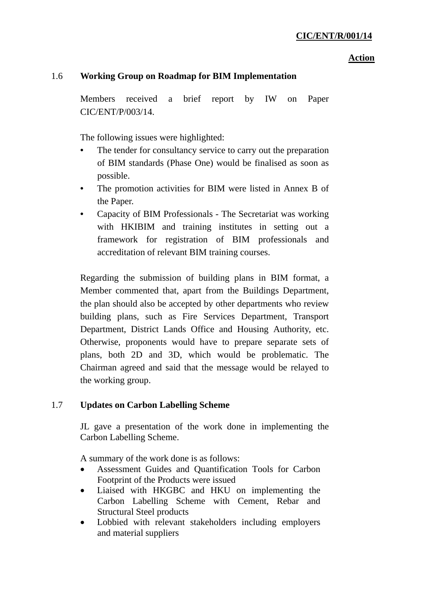#### **Action**

# 1.6 **Working Group on Roadmap for BIM Implementation**

Members received a brief report by IW on Paper CIC/ENT/P/003/14.

The following issues were highlighted:

- The tender for consultancy service to carry out the preparation of BIM standards (Phase One) would be finalised as soon as possible.
- The promotion activities for BIM were listed in Annex B of the Paper.
- Capacity of BIM Professionals The Secretariat was working with HKIBIM and training institutes in setting out a framework for registration of BIM professionals and accreditation of relevant BIM training courses.

Regarding the submission of building plans in BIM format, a Member commented that, apart from the Buildings Department, the plan should also be accepted by other departments who review building plans, such as Fire Services Department, Transport Department, District Lands Office and Housing Authority, etc. Otherwise, proponents would have to prepare separate sets of plans, both 2D and 3D, which would be problematic. The Chairman agreed and said that the message would be relayed to the working group.

### 1.7 **Updates on Carbon Labelling Scheme**

JL gave a presentation of the work done in implementing the Carbon Labelling Scheme.

A summary of the work done is as follows:

- Assessment Guides and Quantification Tools for Carbon Footprint of the Products were issued
- Liaised with HKGBC and HKU on implementing the Carbon Labelling Scheme with Cement, Rebar and Structural Steel products
- Lobbied with relevant stakeholders including employers and material suppliers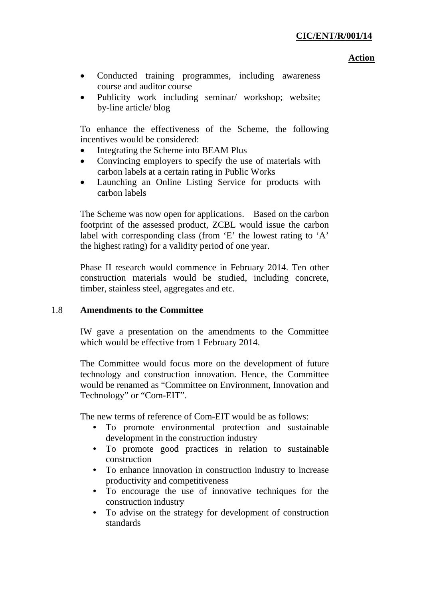#### **Action**

- Conducted training programmes, including awareness course and auditor course
- Publicity work including seminar/ workshop; website; by-line article/ blog

To enhance the effectiveness of the Scheme, the following incentives would be considered:

- Integrating the Scheme into BEAM Plus
- Convincing employers to specify the use of materials with carbon labels at a certain rating in Public Works
- Launching an Online Listing Service for products with carbon labels

The Scheme was now open for applications. Based on the carbon footprint of the assessed product, ZCBL would issue the carbon label with corresponding class (from 'E' the lowest rating to 'A' the highest rating) for a validity period of one year.

Phase II research would commence in February 2014. Ten other construction materials would be studied, including concrete, timber, stainless steel, aggregates and etc.

# 1.8 **Amendments to the Committee**

IW gave a presentation on the amendments to the Committee which would be effective from 1 February 2014.

The Committee would focus more on the development of future technology and construction innovation. Hence, the Committee would be renamed as "Committee on Environment, Innovation and Technology" or "Com-EIT".

The new terms of reference of Com-EIT would be as follows:

- To promote environmental protection and sustainable development in the construction industry
- To promote good practices in relation to sustainable construction
- To enhance innovation in construction industry to increase productivity and competitiveness
- To encourage the use of innovative techniques for the construction industry
- To advise on the strategy for development of construction standards